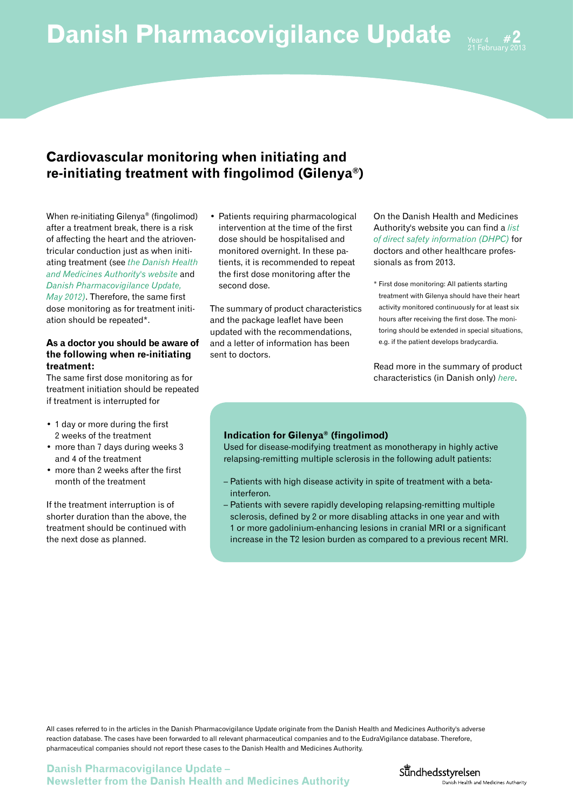

## **Cardiovascular monitoring when initiating and re-initiating treatment with fingolimod (Gilenya®)**

When re-initiating Gilenya® (fingolimod) after a treatment break, there is a risk of affecting the heart and the atrioventricular conduction just as when initiating treatment (see *[the Danish Health](http://lmst.dk/en/topics/side-effects-and-trials/side-effects/news/gilenya-fingolimod--new-recommendations----the-heart)  [and Medicines Authority's website](http://lmst.dk/en/topics/side-effects-and-trials/side-effects/news/gilenya-fingolimod--new-recommendations----the-heart)* and *[Danish Pharmacovigilance Update,](http://laegemiddelstyrelsen.dk/~/media/433791B7F62B4C398DB2EF12E9C6D3CC.ashx)  [May 2012\)](http://laegemiddelstyrelsen.dk/~/media/433791B7F62B4C398DB2EF12E9C6D3CC.ashx)*. Therefore, the same first dose monitoring as for treatment initiation should be repeated\*.

### **As a doctor you should be aware of the following when re-initiating treatment:**

The same first dose monitoring as for treatment initiation should be repeated if treatment is interrupted for

- 1 day or more during the first 2 weeks of the treatment
- more than 7 days during weeks 3 and 4 of the treatment
- more than 2 weeks after the first month of the treatment

If the treatment interruption is of shorter duration than the above, the treatment should be continued with the next dose as planned.

• Patients requiring pharmacological intervention at the time of the first dose should be hospitalised and monitored overnight. In these patients, it is recommended to repeat the first dose monitoring after the second dose.

The summary of product characteristics and the package leaflet have been updated with the recommendations, and a letter of information has been sent to doctors.

On the Danish Health and Medicines Authority's website you can find a *[list](http://laegemiddelstyrelsen.dk/en/topics/side-effects-and-trials/direct-healthcare-professional-communication/delivered-dhpcs)  [of direct safety information \(DHPC\)](http://laegemiddelstyrelsen.dk/en/topics/side-effects-and-trials/direct-healthcare-professional-communication/delivered-dhpcs)* for doctors and other healthcare professionals as from 2013.

\* First dose monitoring: All patients starting treatment with Gilenya should have their heart activity monitored continuously for at least six hours after receiving the first dose. The monitoring should be extended in special situations, e.g. if the patient develops bradycardia.

Read more in the summary of product characteristics (in Danish only) *[here](http://www.ema.europa.eu/docs/da_DK/document_library/EPAR_-_Product_Information/human/002202/WC500104528.pdf)*.

### **Indication for Gilenya® (fingolimod)**

Used for disease-modifying treatment as monotherapy in highly active relapsing-remitting multiple sclerosis in the following adult patients:

- Patients with high disease activity in spite of treatment with a betainterferon.
- Patients with severe rapidly developing relapsing-remitting multiple sclerosis, defined by 2 or more disabling attacks in one year and with 1 or more gadolinium-enhancing lesions in cranial MRI or a significant increase in the T2 lesion burden as compared to a previous recent MRI.

All cases referred to in the articles in the Danish Pharmacovigilance Update originate from the Danish Health and Medicines Authority's adverse reaction database. The cases have been forwarded to all relevant pharmaceutical companies and to the EudraVigilance database. Therefore, pharmaceutical companies should not report these cases to the Danish Health and Medicines Authority.

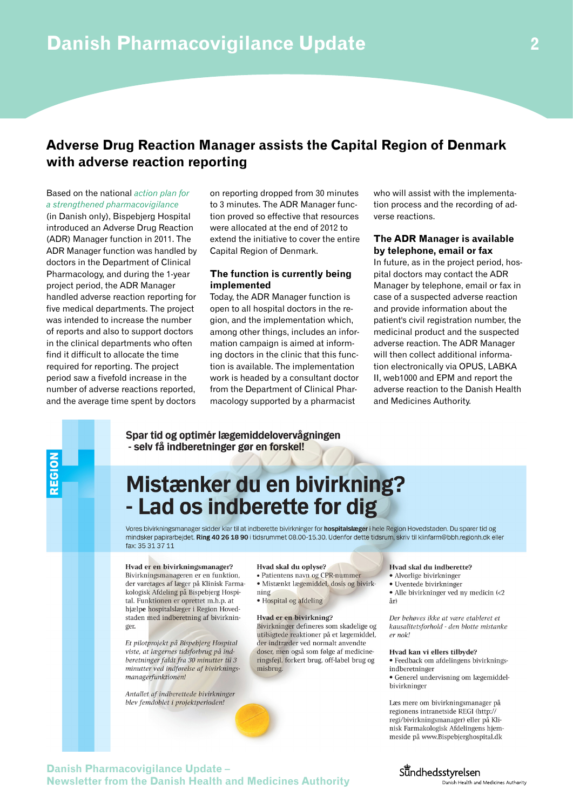## **Adverse Drug Reaction Manager assists the Capital Region of Denmark with adverse reaction reporting**

#### Based on the national *[action plan for](http://www.sum.dk/Aktuelt/Nyheder/Medicin/2011/Juli/~/media/Filer%20-%20Publikationer_i_pdf/2011/Laegemiddelovervaegning/Handlingsplan%202011-2013.ashx)  [a strengthened pharmacovigilance](http://www.sum.dk/Aktuelt/Nyheder/Medicin/2011/Juli/~/media/Filer%20-%20Publikationer_i_pdf/2011/Laegemiddelovervaegning/Handlingsplan%202011-2013.ashx)*

(in Danish only), Bispebjerg Hospital introduced an Adverse Drug Reaction (ADR) Manager function in 2011. The ADR Manager function was handled by doctors in the Department of Clinical Pharmacology, and during the 1-year project period, the ADR Manager handled adverse reaction reporting for five medical departments. The project was intended to increase the number of reports and also to support doctors in the clinical departments who often find it difficult to allocate the time required for reporting. The project period saw a fivefold increase in the number of adverse reactions reported, and the average time spent by doctors

on reporting dropped from 30 minutes to 3 minutes. The ADR Manager function proved so effective that resources were allocated at the end of 2012 to extend the initiative to cover the entire Capital Region of Denmark.

#### **The function is currently being implemented**

Today, the ADR Manager function is open to all hospital doctors in the region, and the implementation which, among other things, includes an information campaign is aimed at informing doctors in the clinic that this function is available. The implementation work is headed by a consultant doctor from the Department of Clinical Pharmacology supported by a pharmacist

who will assist with the implementation process and the recording of adverse reactions.

#### **The ADR Manager is available by telephone, email or fax**

In future, as in the project period, hospital doctors may contact the ADR Manager by telephone, email or fax in case of a suspected adverse reaction and provide information about the patient's civil registration number, the medicinal product and the suspected adverse reaction. The ADR Manager will then collect additional information electronically via OPUS, LABKA II, web1000 and EPM and report the adverse reaction to the Danish Health and Medicines Authority.

Spar tid og optimér lægemiddelovervågningen - selv få indberetninger gør en forskel!

# Mistænker du en bivirkning? - Lad os indberette for dig

Vores bivirkningsmanager sidder klar til at indberette bivirkninger for hospitalslæger i hele Region Hovedstaden. Du sparer tid og mindsker papirarbejdet. Ring 40 26 18 90 i tidsrummet 08.00-15.30. Udenfor dette tidsrum, skriv til klinfarm@bbh.regionh.dk eller fax: 35 31 37 11

#### Hvad er en bivirkningsmanager?

Bivirkningsmanageren er en funktion, der varetages af læger på Klinisk Farmakologisk Afdeling på Bispebjerg Hospital. Funktionen er oprettet m.h.p. at hjælpe hospitalslæger i Region Hovedstaden med indberetning af bivirkninger

Et pilotprojekt på Bispebjerg Hospital viste, at lægernes tidsforbrug på indberetninger faldt fra 30 minutter til 3 minutter ved indførelse af bivirkningsmanagerfunktionen!

Antallet af indberettede bivirkninger blev femdoblet i projektperioden!

#### Hvad skal du oplyse?

- Patientens navn og CPR-nummer
- · Mistænkt lægemiddel, dosis og bivirkning
- · Hospital og afdeling
- 

misbrug.

Hvad er en bivirkning? Bivirkninger defineres som skadelige og utilsigtede reaktioner på et lægemiddel, der indtræder ved normalt anvendte doser, men også som følge af medicineringsfejl, forkert brug, off-label brug og

#### Hvad skal du indberette?

- Alvorlige bivirkninger
- · Uventede bivirkninger
- Alle bivirkninger ved ny medicin (<2 år)

Der behøves ikke at være etableret et kausalitetsforhold - den blotte mistanke er nok!

#### Hvad kan vi ellers tilbyde?

- · Feedback om afdelingens bivirkningsindberetninger
- · Generel undervisning om lægemiddelbivirkninger

Læs mere om bivirkningsmanager på regionens intranetside REGI (http:// regi/bivirkningsmanager) eller på Klinisk Farmakologisk Afdelingens hjemmeside på www.Bispebjerghospital.dk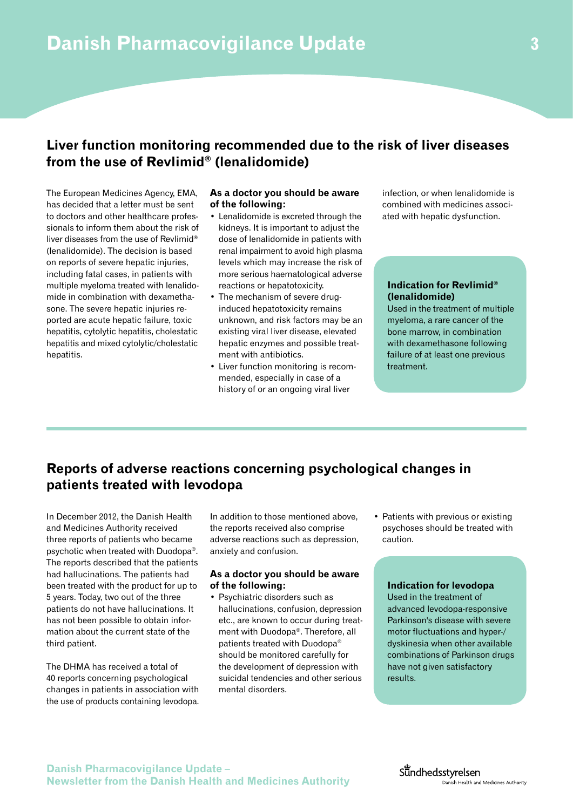## **Liver function monitoring recommended due to the risk of liver diseases from the use of Revlimid® (lenalidomide)**

The European Medicines Agency, EMA, has decided that a letter must be sent to doctors and other healthcare professionals to inform them about the risk of liver diseases from the use of Revlimid® (lenalidomide). The decision is based on reports of severe hepatic injuries, including fatal cases, in patients with multiple myeloma treated with lenalidomide in combination with dexamethasone. The severe hepatic injuries reported are acute hepatic failure, toxic hepatitis, cytolytic hepatitis, cholestatic hepatitis and mixed cytolytic/cholestatic hepatitis.

### **As a doctor you should be aware of the following:**

- Lenalidomide is excreted through the kidneys. It is important to adjust the dose of lenalidomide in patients with renal impairment to avoid high plasma levels which may increase the risk of more serious haematological adverse reactions or hepatotoxicity.
- The mechanism of severe druginduced hepatotoxicity remains unknown, and risk factors may be an existing viral liver disease, elevated hepatic enzymes and possible treatment with antibiotics.
- Liver function monitoring is recommended, especially in case of a history of or an ongoing viral liver

infection, or when lenalidomide is combined with medicines associated with hepatic dysfunction.

### **Indication for Revlimid® (lenalidomide)**

Used in the treatment of multiple myeloma, a rare cancer of the bone marrow, in combination with dexamethasone following failure of at least one previous treatment.

## **Reports of adverse reactions concerning psychological changes in patients treated with levodopa**

In December 2012, the Danish Health and Medicines Authority received three reports of patients who became psychotic when treated with Duodopa®. The reports described that the patients had hallucinations. The patients had been treated with the product for up to 5 years. Today, two out of the three patients do not have hallucinations. It has not been possible to obtain information about the current state of the third patient.

The DHMA has received a total of 40 reports concerning psychological changes in patients in association with the use of products containing levodopa.

In addition to those mentioned above, the reports received also comprise adverse reactions such as depression, anxiety and confusion.

### **As a doctor you should be aware of the following:**

- Psychiatric disorders such as hallucinations, confusion, depression etc., are known to occur during treatment with Duodopa®. Therefore, all patients treated with Duodopa® should be monitored carefully for the development of depression with suicidal tendencies and other serious mental disorders.
- Patients with previous or existing psychoses should be treated with caution.

#### **Indication for levodopa**

Used in the treatment of advanced levodopa-responsive Parkinson's disease with severe motor fluctuations and hyper-/ dyskinesia when other available combinations of Parkinson drugs have not given satisfactory results.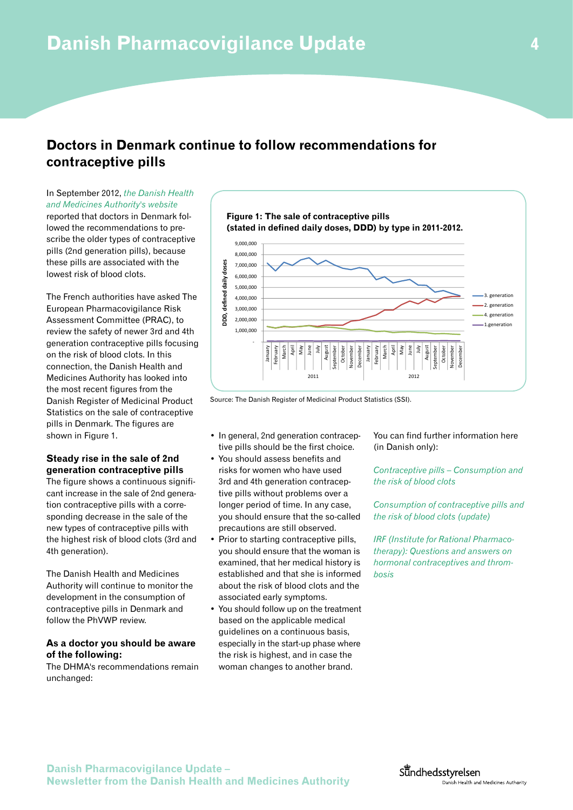## **Doctors in Denmark continue to follow recommendations for contraceptive pills**

In September 2012, *[the Danish Health](http://laegemiddelstyrelsen.dk/en/topics/side-effects-and-trials/side-effects/news/doctors-in-denmark-follow-new-recommenda--tive-pills)  [and Medicines Authority's website](http://laegemiddelstyrelsen.dk/en/topics/side-effects-and-trials/side-effects/news/doctors-in-denmark-follow-new-recommenda--tive-pills)* reported that doctors in Denmark fol-

lowed the recommendations to prescribe the older types of contraceptive pills (2nd generation pills), because these pills are associated with the lowest risk of blood clots.

The French authorities have asked The European Pharmacovigilance Risk Assessment Committee (PRAC), to review the safety of newer 3rd and 4th generation contraceptive pills focusing on the risk of blood clots. In this connection, the Danish Health and Medicines Authority has looked into the most recent figures from the Danish Register of Medicinal Product Statistics on the sale of contraceptive pills in Denmark. The figures are shown in Figure 1.

### **Steady rise in the sale of 2nd generation contraceptive pills**

The figure shows a continuous significant increase in the sale of 2nd generation contraceptive pills with a corresponding decrease in the sale of the new types of contraceptive pills with the highest risk of blood clots (3rd and 4th generation).

The Danish Health and Medicines Authority will continue to monitor the development in the consumption of contraceptive pills in Denmark and follow the PhVWP review.

### **As a doctor you should be aware of the following:**

The DHMA's recommendations remain unchanged:



Source: The Danish Register of Medicinal Product Statistics (SSI).

- In general, 2nd generation contraceptive pills should be the first choice.
- You should assess benefits and risks for women who have used 3rd and 4th generation contraceptive pills without problems over a longer period of time. In any case, you should ensure that the so-called precautions are still observed.
- Prior to starting contraceptive pills, you should ensure that the woman is examined, that her medical history is established and that she is informed about the risk of blood clots and the associated early symptoms.
- You should follow up on the treatment based on the applicable medical guidelines on a continuous basis, especially in the start-up phase where the risk is highest, and in case the woman changes to another brand.

You can find further information here (in Danish only):

*[Contraceptive pills – Consumption and](http://laegemiddelstyrelsen.dk/~/media/0BEEA11E26AD4DFFBD6E9FA0BC36A18E.ashx%20)  [the risk of blood clots](http://laegemiddelstyrelsen.dk/~/media/0BEEA11E26AD4DFFBD6E9FA0BC36A18E.ashx%20)*

*[Consumption of contraceptive pills and](http://laegemiddelstyrelsen.dk/~/media/76BD400E7E7A42588DC0C044203BC1D2.ashx)  [the risk of blood clots \(update\)](http://laegemiddelstyrelsen.dk/~/media/76BD400E7E7A42588DC0C044203BC1D2.ashx)*

*[IRF \(Institute for Rational Pharmaco](http://www.irf.dk/dk/redskaber/faq/spoergsmaal_og_svar_om_hormonel_kontraception_og_trombose.htm)[therapy\): Questions and answers on](http://www.irf.dk/dk/redskaber/faq/spoergsmaal_og_svar_om_hormonel_kontraception_og_trombose.htm)  [hormonal contraceptives and throm](http://www.irf.dk/dk/redskaber/faq/spoergsmaal_og_svar_om_hormonel_kontraception_og_trombose.htm)[bosis](http://www.irf.dk/dk/redskaber/faq/spoergsmaal_og_svar_om_hormonel_kontraception_og_trombose.htm)*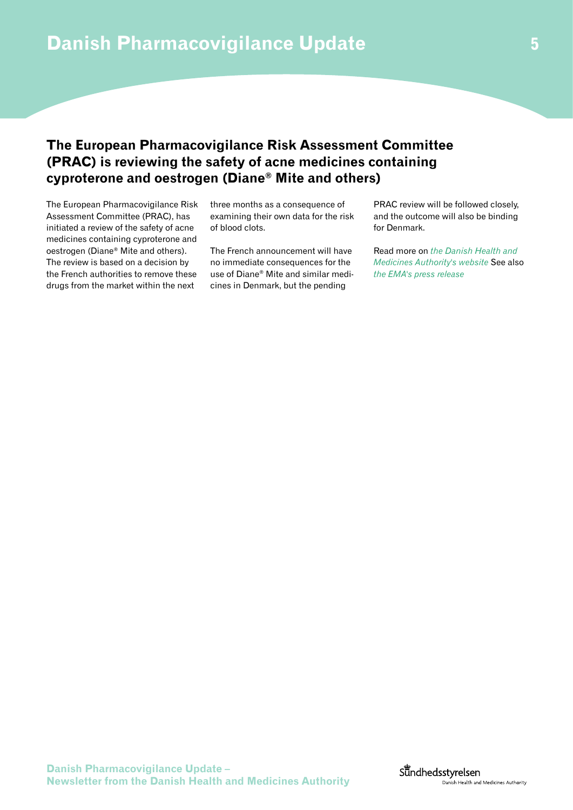## **The European Pharmacovigilance Risk Assessment Committee (PRAC) is reviewing the safety of acne medicines containing cyproterone and oestrogen (Diane® Mite and others)**

The European Pharmacovigilance Risk Assessment Committee (PRAC), has initiated a review of the safety of acne medicines containing cyproterone and oestrogen (Diane® Mite and others). The review is based on a decision by the French authorities to remove these drugs from the market within the next

three months as a consequence of examining their own data for the risk of blood clots.

The French announcement will have no immediate consequences for the use of Diane® Mite and similar medicines in Denmark, but the pending

PRAC review will be followed closely, and the outcome will also be binding for Denmark.

Read more on *[the Danish Health and](http://laegemiddelstyrelsen.dk/en/topics/side-effects-and-trials/side-effects/news/france-removes-acne-pills-diane-mite-etc--the-market)  [Medicines Authority's website](http://laegemiddelstyrelsen.dk/en/topics/side-effects-and-trials/side-effects/news/france-removes-acne-pills-diane-mite-etc--the-market)* See also *[the EMA's press release](http://www.ema.europa.eu/ema/index.jsp?curl=pages/news_and_events/news/2013/02/news_detail_001711.jsp&mid=WC0b01ac058004d5c1)*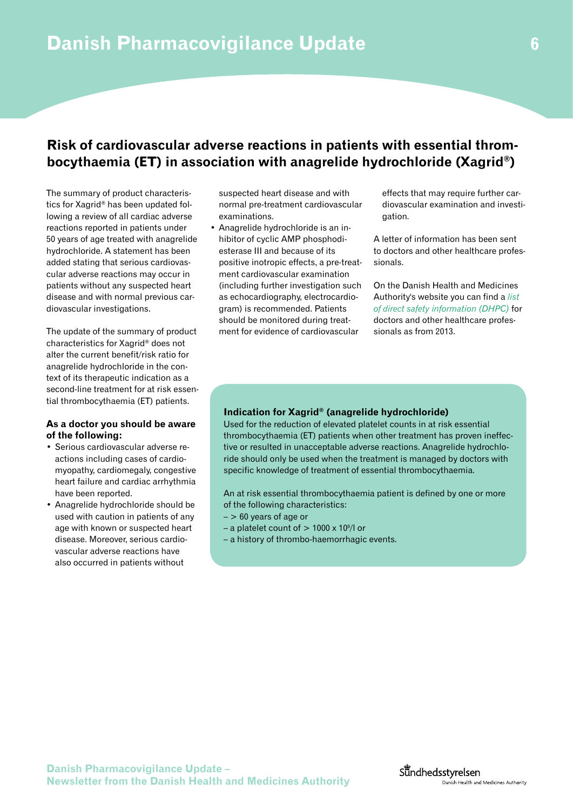## **Risk of cardiovascular adverse reactions in patients with essential thrombocythaemia (ET) in association with anagrelide hydrochloride (Xagrid®)**

The summary of product characteristics for Xagrid® has been updated following a review of all cardiac adverse reactions reported in patients under 50 years of age treated with anagrelide hydrochloride. A statement has been added stating that serious cardiovascular adverse reactions may occur in patients without any suspected heart disease and with normal previous cardiovascular investigations.

The update of the summary of product characteristics for Xagrid® does not alter the current benefit/risk ratio for anagrelide hydrochloride in the context of its therapeutic indication as a second-line treatment for at risk essential thrombocythaemia (ET) patients.

#### **As a doctor you should be aware of the following:**

- Serious cardiovascular adverse reactions including cases of cardiomyopathy, cardiomegaly, congestive heart failure and cardiac arrhythmia have been reported.
- Anagrelide hydrochloride should be used with caution in patients of any age with known or suspected heart disease. Moreover, serious cardiovascular adverse reactions have also occurred in patients without

suspected heart disease and with normal pre-treatment cardiovascular examinations.

• Anagrelide hydrochloride is an inhibitor of cyclic AMP phosphodiesterase III and because of its positive inotropic effects, a pre-treatment cardiovascular examination (including further investigation such as echocardiography, electrocardiogram) is recommended. Patients should be monitored during treatment for evidence of cardiovascular

effects that may require further cardiovascular examination and investigation.

A letter of information has been sent to doctors and other healthcare professionals.

On the Danish Health and Medicines Authority's website you can find a *[list](http://laegemiddelstyrelsen.dk/en/topics/side-effects-and-trials/direct-healthcare-professional-communication/delivered-dhpcs)  [of direct safety information \(DHPC\)](http://laegemiddelstyrelsen.dk/en/topics/side-effects-and-trials/direct-healthcare-professional-communication/delivered-dhpcs)* for doctors and other healthcare professionals as from 2013.

### **Indication for Xagrid® (anagrelide hydrochloride)**

Used for the reduction of elevated platelet counts in at risk essential thrombocythaemia (ET) patients when other treatment has proven ineffective or resulted in unacceptable adverse reactions. Anagrelide hydrochloride should only be used when the treatment is managed by doctors with specific knowledge of treatment of essential thrombocythaemia.

An at risk essential thrombocythaemia patient is defined by one or more of the following characteristics:

- $-$  > 60 years of age or
- $-$  a platelet count of  $> 1000 \times 10^9$ /l or
- a history of thrombo-haemorrhagic events.